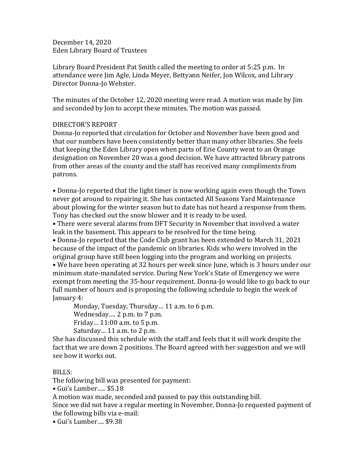December 14, 2020 Eden Library Board of Trustees

Library Board President Pat Smith called the meeting to order at 5:25 p.m. In attendance were Jim Agle, Linda Meyer, Bettyann Neifer, Jon Wilcox, and Library Director Donna-Jo Webster.

The minutes of the October 12, 2020 meeting were read. A motion was made by Jim and seconded by Jon to accept these minutes. The motion was passed.

# DIRECTOR'S REPORT

Donna-Jo reported that circulation for October and November have been good and that our numbers have been consistently better than many other libraries. She feels that keeping the Eden Library open when parts of Erie County went to an Orange designation on November 20 was a good decision. We have attracted library patrons from other areas of the county and the staff has received many compliments from patrons.

• Donna-Jo reported that the light timer is now working again even though the Town never got around to repairing it. She has contacted All Seasons Yard Maintenance about plowing for the winter season but to date has not heard a response from them. Tony has checked out the snow blower and it is ready to be used.

• There were several alarms from DFT Security in November that involved a water leak in the basement. This appears to be resolved for the time being.

• Donna-Jo reported that the Code Club grant has been extended to March 31, 2021 because of the impact of the pandemic on libraries. Kids who were involved in the original group have still been logging into the program and working on projects.

• We have been operating at 32 hours per week since June, which is 3 hours under our minimum state-mandated service. During New York's State of Emergency we were exempt from meeting the 35-hour requirement. Donna-Jo would like to go back to our full number of hours and is proposing the following schedule to begin the week of January 4:

Monday, Tuesday, Thursday… 11 a.m. to 6 p.m. Wednesday…. 2 p.m. to 7 p.m. Friday… 11:00 a.m. to 5 p.m. Saturday… 11 a.m. to 2 p.m.

She has discussed this schedule with the staff and feels that it will work despite the fact that we are down 2 positions. The Board agreed with her suggestion and we will see how it works out.

## BILLS:

The following bill was presented for payment:

• Gui's Lumber….. \$5.18

A motion was made, seconded and passed to pay this outstanding bill.

Since we did not have a regular meeting in November, Donna-Jo requested payment of the following bills via e-mail:

• Gui's Lumber…. \$9.38